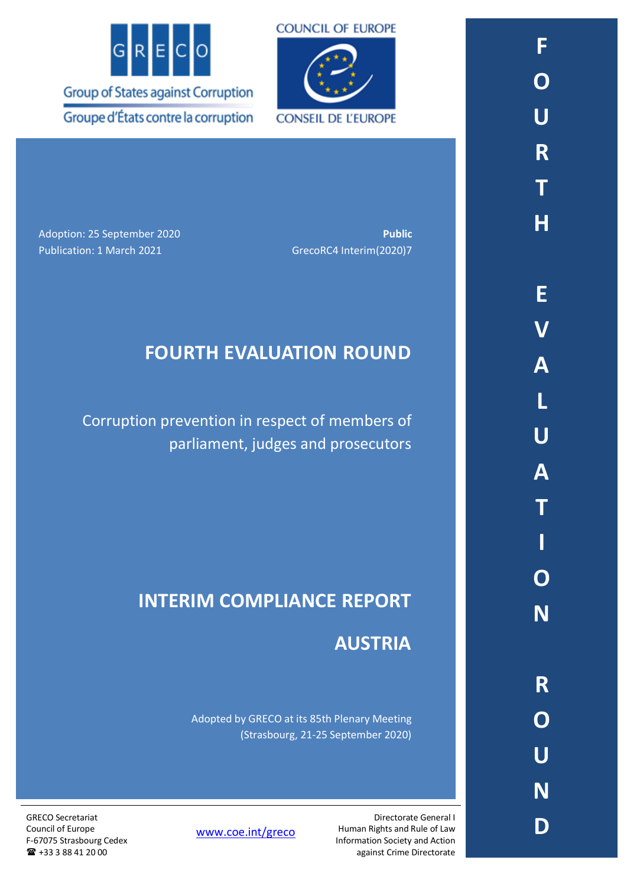



**CONSEIL DE L'EUROPE** 

Adoption: 25 September 2020 **Public** Publication: 1 March 2021 GrecoRC4 Interim(2020)7

# **FOURTH EVALUATION ROUND**

Corruption prevention in respect of members of parliament, judges and prosecutors

# **INTERIM COMPLIANCE REPORT**

## **AUSTRIA**

Adopted by GRECO at its 85th Plenary Meeting (Strasbourg, 21-25 September 2020)

> Directorate General I Human Rights and Rule of Law Information Society and Action against Crime Directorate

[www.coe.int/greco](http://www.coe.int/greco)

GRECO Secretariat Council of Europe F-67075 Strasbourg Cedex +33 3 88 41 20 00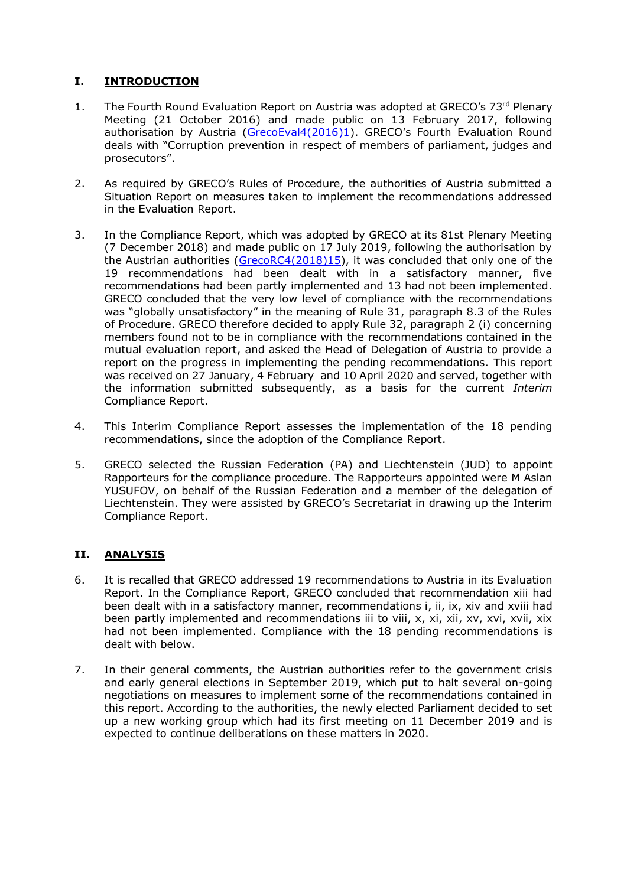## **I. INTRODUCTION**

- 1. The Fourth Round Evaluation Report on Austria was adopted at GRECO's 73rd Plenary Meeting (21 October 2016) and made public on 13 February 2017, following authorisation by Austria [\(GrecoEval4\(2016\)1](https://rm.coe.int/CoERMPublicCommonSearchServices/DisplayDCTMContent?documentId=09000016806f2b42)). GRECO's Fourth Evaluation Round deals with "Corruption prevention in respect of members of parliament, judges and prosecutors".
- 2. As required by GRECO's Rules of Procedure, the authorities of Austria submitted a Situation Report on measures taken to implement the recommendations addressed in the Evaluation Report.
- 3. In the Compliance Report, which was adopted by GRECO at its 81st Plenary Meeting (7 December 2018) and made public on 17 July 2019, following the authorisation by the Austrian authorities [\(GrecoRC4\(2018\)15\)](https://rm.coe.int/fourth-evaluation-round-corruption-prevention-in-respect-of-members-of/1680966744), it was concluded that only one of the 19 recommendations had been dealt with in a satisfactory manner, five recommendations had been partly implemented and 13 had not been implemented. GRECO concluded that the very low level of compliance with the recommendations was "globally unsatisfactory" in the meaning of Rule 31, paragraph 8.3 of the Rules of Procedure. GRECO therefore decided to apply Rule 32, paragraph 2 (i) concerning members found not to be in compliance with the recommendations contained in the mutual evaluation report, and asked the Head of Delegation of Austria to provide a report on the progress in implementing the pending recommendations. This report was received on 27 January, 4 February and 10 April 2020 and served, together with the information submitted subsequently, as a basis for the current *Interim* Compliance Report.
- 4. This Interim Compliance Report assesses the implementation of the 18 pending recommendations, since the adoption of the Compliance Report.
- 5. GRECO selected the Russian Federation (PA) and Liechtenstein (JUD) to appoint Rapporteurs for the compliance procedure. The Rapporteurs appointed were M Aslan YUSUFOV, on behalf of the Russian Federation and a member of the delegation of Liechtenstein. They were assisted by GRECO's Secretariat in drawing up the Interim Compliance Report.

## **II. ANALYSIS**

- 6. It is recalled that GRECO addressed 19 recommendations to Austria in its Evaluation Report. In the Compliance Report, GRECO concluded that recommendation xiii had been dealt with in a satisfactory manner, recommendations i, ii, ix, xiv and xviii had been partly implemented and recommendations iii to viii, x, xi, xii, xv, xvi, xvii, xix had not been implemented. Compliance with the 18 pending recommendations is dealt with below.
- 7. In their general comments, the Austrian authorities refer to the government crisis and early general elections in September 2019, which put to halt several on-going negotiations on measures to implement some of the recommendations contained in this report. According to the authorities, the newly elected Parliament decided to set up a new working group which had its first meeting on 11 December 2019 and is expected to continue deliberations on these matters in 2020.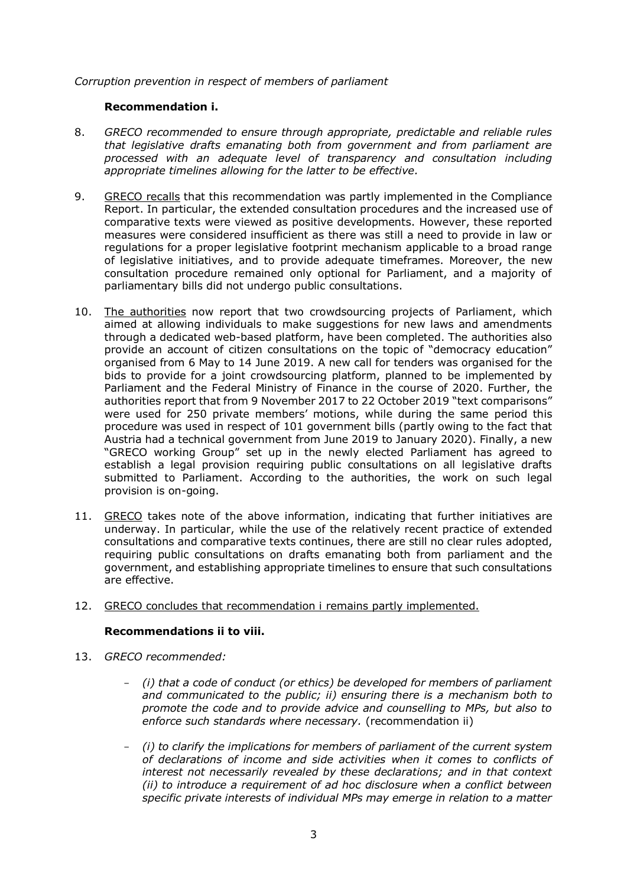## *Corruption prevention in respect of members of parliament*

### **Recommendation i.**

- 8. *GRECO recommended to ensure through appropriate, predictable and reliable rules that legislative drafts emanating both from government and from parliament are processed with an adequate level of transparency and consultation including appropriate timelines allowing for the latter to be effective.*
- 9. GRECO recalls that this recommendation was partly implemented in the Compliance Report. In particular, the extended consultation procedures and the increased use of comparative texts were viewed as positive developments. However, these reported measures were considered insufficient as there was still a need to provide in law or regulations for a proper legislative footprint mechanism applicable to a broad range of legislative initiatives, and to provide adequate timeframes. Moreover, the new consultation procedure remained only optional for Parliament, and a majority of parliamentary bills did not undergo public consultations.
- 10. The authorities now report that two crowdsourcing projects of Parliament, which aimed at allowing individuals to make suggestions for new laws and amendments through a dedicated web-based platform, have been completed. The authorities also provide an account of citizen consultations on the topic of "democracy education" organised from 6 May to 14 June 2019. A new call for tenders was organised for the bids to provide for a joint crowdsourcing platform, planned to be implemented by Parliament and the Federal Ministry of Finance in the course of 2020. Further, the authorities report that from 9 November 2017 to 22 October 2019 "text comparisons" were used for 250 private members' motions, while during the same period this procedure was used in respect of 101 government bills (partly owing to the fact that Austria had a technical government from June 2019 to January 2020). Finally, a new "GRECO working Group" set up in the newly elected Parliament has agreed to establish a legal provision requiring public consultations on all legislative drafts submitted to Parliament. According to the authorities, the work on such legal provision is on-going.
- 11. GRECO takes note of the above information, indicating that further initiatives are underway. In particular, while the use of the relatively recent practice of extended consultations and comparative texts continues, there are still no clear rules adopted, requiring public consultations on drafts emanating both from parliament and the government, and establishing appropriate timelines to ensure that such consultations are effective.

## 12. GRECO concludes that recommendation i remains partly implemented.

## **Recommendations ii to viii.**

- 13. *GRECO recommended:*
	- *(i) that a code of conduct (or ethics) be developed for members of parliament and communicated to the public; ii) ensuring there is a mechanism both to promote the code and to provide advice and counselling to MPs, but also to enforce such standards where necessary.* (recommendation ii)
	- *(i) to clarify the implications for members of parliament of the current system of declarations of income and side activities when it comes to conflicts of interest not necessarily revealed by these declarations; and in that context (ii) to introduce a requirement of ad hoc disclosure when a conflict between specific private interests of individual MPs may emerge in relation to a matter*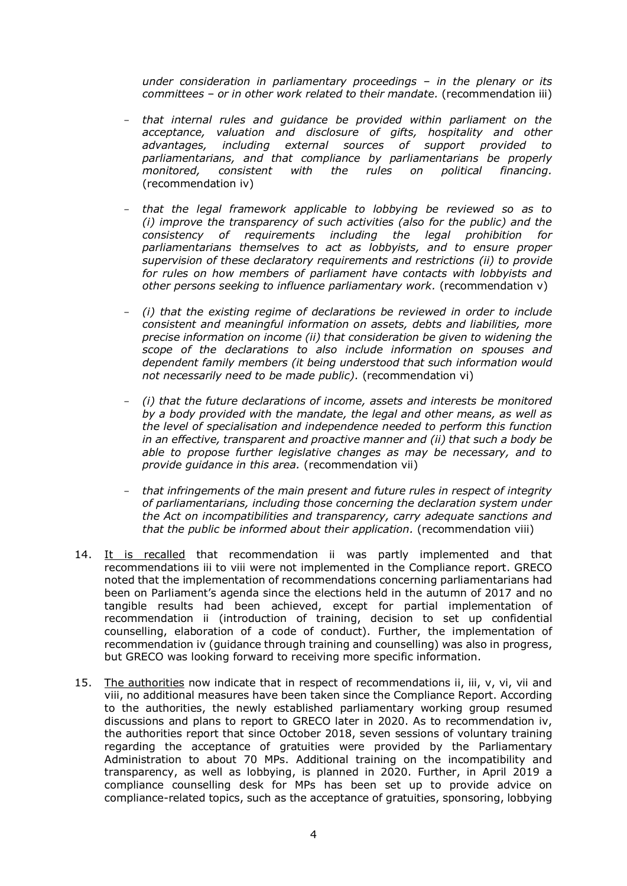*under consideration in parliamentary proceedings – in the plenary or its committees – or in other work related to their mandate.* (recommendation iii)

- *that internal rules and guidance be provided within parliament on the acceptance, valuation and disclosure of gifts, hospitality and other advantages, including external sources of support provided to parliamentarians, and that compliance by parliamentarians be properly monitored, consistent with the rules on political financing.* (recommendation iv)
- *that the legal framework applicable to lobbying be reviewed so as to (i) improve the transparency of such activities (also for the public) and the consistency of requirements including the legal prohibition for parliamentarians themselves to act as lobbyists, and to ensure proper supervision of these declaratory requirements and restrictions (ii) to provide for rules on how members of parliament have contacts with lobbyists and other persons seeking to influence parliamentary work.* (recommendation v)
- *(i) that the existing regime of declarations be reviewed in order to include consistent and meaningful information on assets, debts and liabilities, more precise information on income (ii) that consideration be given to widening the scope of the declarations to also include information on spouses and dependent family members (it being understood that such information would not necessarily need to be made public).* (recommendation vi)
- *(i) that the future declarations of income, assets and interests be monitored by a body provided with the mandate, the legal and other means, as well as the level of specialisation and independence needed to perform this function in an effective, transparent and proactive manner and (ii) that such a body be able to propose further legislative changes as may be necessary, and to provide guidance in this area.* (recommendation vii)
- *that infringements of the main present and future rules in respect of integrity of parliamentarians, including those concerning the declaration system under the Act on incompatibilities and transparency, carry adequate sanctions and that the public be informed about their application.* (recommendation viii)
- 14. It is recalled that recommendation ii was partly implemented and that recommendations iii to viii were not implemented in the Compliance report. GRECO noted that the implementation of recommendations concerning parliamentarians had been on Parliament's agenda since the elections held in the autumn of 2017 and no tangible results had been achieved, except for partial implementation of recommendation ii (introduction of training, decision to set up confidential counselling, elaboration of a code of conduct). Further, the implementation of recommendation iv (guidance through training and counselling) was also in progress, but GRECO was looking forward to receiving more specific information.
- 15. The authorities now indicate that in respect of recommendations ii, iii, v, vi, vii and viii, no additional measures have been taken since the Compliance Report. According to the authorities, the newly established parliamentary working group resumed discussions and plans to report to GRECO later in 2020. As to recommendation iv, the authorities report that since October 2018, seven sessions of voluntary training regarding the acceptance of gratuities were provided by the Parliamentary Administration to about 70 MPs. Additional training on the incompatibility and transparency, as well as lobbying, is planned in 2020. Further, in April 2019 a compliance counselling desk for MPs has been set up to provide advice on compliance-related topics, such as the acceptance of gratuities, sponsoring, lobbying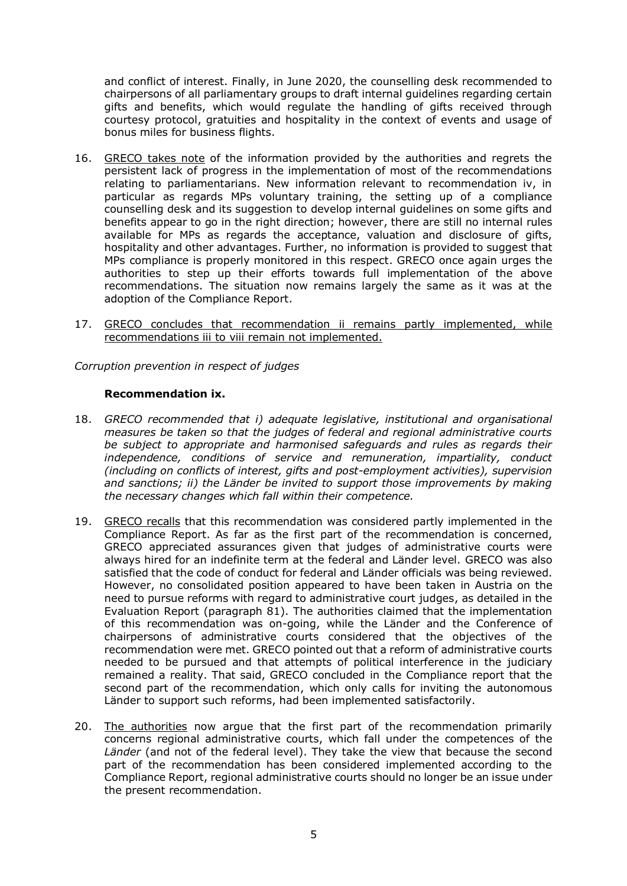and conflict of interest. Finally, in June 2020, the counselling desk recommended to chairpersons of all parliamentary groups to draft internal guidelines regarding certain gifts and benefits, which would regulate the handling of gifts received through courtesy protocol, gratuities and hospitality in the context of events and usage of bonus miles for business flights.

- 16. GRECO takes note of the information provided by the authorities and regrets the persistent lack of progress in the implementation of most of the recommendations relating to parliamentarians. New information relevant to recommendation iv, in particular as regards MPs voluntary training, the setting up of a compliance counselling desk and its suggestion to develop internal guidelines on some gifts and benefits appear to go in the right direction; however, there are still no internal rules available for MPs as regards the acceptance, valuation and disclosure of gifts, hospitality and other advantages. Further, no information is provided to suggest that MPs compliance is properly monitored in this respect. GRECO once again urges the authorities to step up their efforts towards full implementation of the above recommendations. The situation now remains largely the same as it was at the adoption of the Compliance Report.
- 17. GRECO concludes that recommendation ii remains partly implemented, while recommendations iii to viii remain not implemented.

*Corruption prevention in respect of judges*

## **Recommendation ix.**

- 18. *GRECO recommended that i) adequate legislative, institutional and organisational measures be taken so that the judges of federal and regional administrative courts be subject to appropriate and harmonised safeguards and rules as regards their independence, conditions of service and remuneration, impartiality, conduct (including on conflicts of interest, gifts and post-employment activities), supervision and sanctions; ii) the Länder be invited to support those improvements by making the necessary changes which fall within their competence.*
- 19. GRECO recalls that this recommendation was considered partly implemented in the Compliance Report. As far as the first part of the recommendation is concerned, GRECO appreciated assurances given that judges of administrative courts were always hired for an indefinite term at the federal and Länder level. GRECO was also satisfied that the code of conduct for federal and Länder officials was being reviewed. However, no consolidated position appeared to have been taken in Austria on the need to pursue reforms with regard to administrative court judges, as detailed in the Evaluation Report (paragraph 81). The authorities claimed that the implementation of this recommendation was on-going, while the Länder and the Conference of chairpersons of administrative courts considered that the objectives of the recommendation were met. GRECO pointed out that a reform of administrative courts needed to be pursued and that attempts of political interference in the judiciary remained a reality. That said, GRECO concluded in the Compliance report that the second part of the recommendation, which only calls for inviting the autonomous Länder to support such reforms, had been implemented satisfactorily.
- 20. The authorities now argue that the first part of the recommendation primarily concerns regional administrative courts, which fall under the competences of the *Länder* (and not of the federal level). They take the view that because the second part of the recommendation has been considered implemented according to the Compliance Report, regional administrative courts should no longer be an issue under the present recommendation.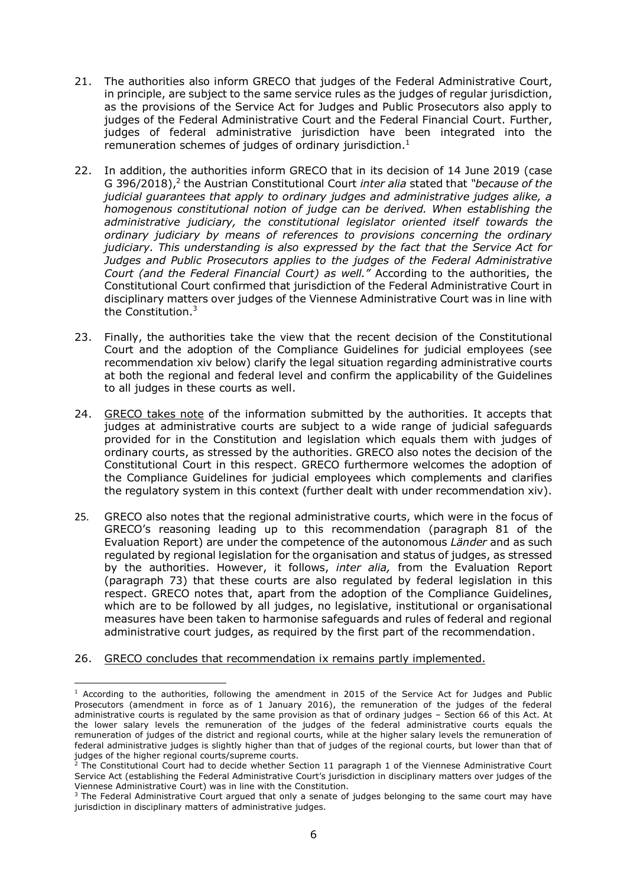- 21. The authorities also inform GRECO that judges of the Federal Administrative Court, in principle, are subject to the same service rules as the judges of regular jurisdiction, as the provisions of the Service Act for Judges and Public Prosecutors also apply to judges of the Federal Administrative Court and the Federal Financial Court. Further, judges of federal administrative jurisdiction have been integrated into the remuneration schemes of judges of ordinary jurisdiction. $1$
- 22. In addition, the authorities inform GRECO that in its decision of 14 June 2019 (case G 396/2018),<sup>2</sup> the Austrian Constitutional Court *inter alia* stated that "because of the *judicial guarantees that apply to ordinary judges and administrative judges alike, a homogenous constitutional notion of judge can be derived. When establishing the administrative judiciary, the constitutional legislator oriented itself towards the ordinary judiciary by means of references to provisions concerning the ordinary judiciary. This understanding is also expressed by the fact that the Service Act for Judges and Public Prosecutors applies to the judges of the Federal Administrative Court (and the Federal Financial Court) as well."* According to the authorities, the Constitutional Court confirmed that jurisdiction of the Federal Administrative Court in disciplinary matters over judges of the Viennese Administrative Court was in line with the Constitution.<sup>3</sup>
- 23. Finally, the authorities take the view that the recent decision of the Constitutional Court and the adoption of the Compliance Guidelines for judicial employees (see recommendation xiv below) clarify the legal situation regarding administrative courts at both the regional and federal level and confirm the applicability of the Guidelines to all judges in these courts as well.
- 24. GRECO takes note of the information submitted by the authorities. It accepts that judges at administrative courts are subject to a wide range of judicial safeguards provided for in the Constitution and legislation which equals them with judges of ordinary courts, as stressed by the authorities. GRECO also notes the decision of the Constitutional Court in this respect. GRECO furthermore welcomes the adoption of the Compliance Guidelines for judicial employees which complements and clarifies the regulatory system in this context (further dealt with under recommendation xiv).
- 25. GRECO also notes that the regional administrative courts, which were in the focus of GRECO's reasoning leading up to this recommendation (paragraph 81 of the Evaluation Report) are under the competence of the autonomous *Länder* and as such regulated by regional legislation for the organisation and status of judges, as stressed by the authorities. However, it follows, *inter alia,* from the Evaluation Report (paragraph 73) that these courts are also regulated by federal legislation in this respect. GRECO notes that, apart from the adoption of the Compliance Guidelines, which are to be followed by all judges, no legislative, institutional or organisational measures have been taken to harmonise safeguards and rules of federal and regional administrative court judges, as required by the first part of the recommendation.
- 26. GRECO concludes that recommendation ix remains partly implemented.

 $1$  According to the authorities, following the amendment in 2015 of the Service Act for Judges and Public Prosecutors (amendment in force as of 1 January 2016), the remuneration of the judges of the federal administrative courts is regulated by the same provision as that of ordinary judges – Section 66 of this Act. At the lower salary levels the remuneration of the judges of the federal administrative courts equals the remuneration of judges of the district and regional courts, while at the higher salary levels the remuneration of federal administrative judges is slightly higher than that of judges of the regional courts, but lower than that of judges of the higher regional courts/supreme courts.

<sup>&</sup>lt;sup>2</sup> The Constitutional Court had to decide whether Section 11 paragraph 1 of the Viennese Administrative Court Service Act (establishing the Federal Administrative Court's jurisdiction in disciplinary matters over judges of the Viennese Administrative Court) was in line with the Constitution.

<sup>3</sup> The Federal Administrative Court argued that only a senate of judges belonging to the same court may have jurisdiction in disciplinary matters of administrative judges.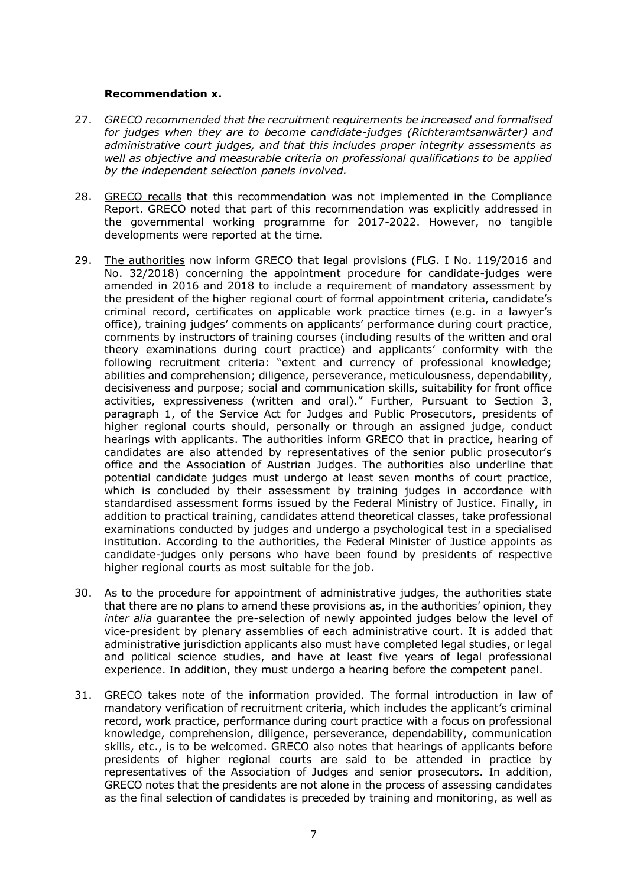#### **Recommendation x.**

- 27. *GRECO recommended that the recruitment requirements be increased and formalised for judges when they are to become candidate-judges (Richteramtsanwärter) and administrative court judges, and that this includes proper integrity assessments as well as objective and measurable criteria on professional qualifications to be applied by the independent selection panels involved.*
- 28. GRECO recalls that this recommendation was not implemented in the Compliance Report. GRECO noted that part of this recommendation was explicitly addressed in the governmental working programme for 2017-2022. However, no tangible developments were reported at the time.
- 29. The authorities now inform GRECO that legal provisions (FLG. I No. 119/2016 and No. 32/2018) concerning the appointment procedure for candidate-judges were amended in 2016 and 2018 to include a requirement of mandatory assessment by the president of the higher regional court of formal appointment criteria, candidate's criminal record, certificates on applicable work practice times (e.g. in a lawyer's office), training judges' comments on applicants' performance during court practice, comments by instructors of training courses (including results of the written and oral theory examinations during court practice) and applicants' conformity with the following recruitment criteria: "extent and currency of professional knowledge; abilities and comprehension; diligence, perseverance, meticulousness, dependability, decisiveness and purpose; social and communication skills, suitability for front office activities, expressiveness (written and oral)." Further, Pursuant to Section 3, paragraph 1, of the Service Act for Judges and Public Prosecutors, presidents of higher regional courts should, personally or through an assigned judge, conduct hearings with applicants. The authorities inform GRECO that in practice, hearing of candidates are also attended by representatives of the senior public prosecutor's office and the Association of Austrian Judges. The authorities also underline that potential candidate judges must undergo at least seven months of court practice, which is concluded by their assessment by training judges in accordance with standardised assessment forms issued by the Federal Ministry of Justice. Finally, in addition to practical training, candidates attend theoretical classes, take professional examinations conducted by judges and undergo a psychological test in a specialised institution. According to the authorities, the Federal Minister of Justice appoints as candidate-judges only persons who have been found by presidents of respective higher regional courts as most suitable for the job.
- 30. As to the procedure for appointment of administrative judges, the authorities state that there are no plans to amend these provisions as, in the authorities' opinion, they *inter alia* guarantee the pre-selection of newly appointed judges below the level of vice-president by plenary assemblies of each administrative court. It is added that administrative jurisdiction applicants also must have completed legal studies, or legal and political science studies, and have at least five years of legal professional experience. In addition, they must undergo a hearing before the competent panel.
- 31. GRECO takes note of the information provided. The formal introduction in law of mandatory verification of recruitment criteria, which includes the applicant's criminal record, work practice, performance during court practice with a focus on professional knowledge, comprehension, diligence, perseverance, dependability, communication skills, etc., is to be welcomed. GRECO also notes that hearings of applicants before presidents of higher regional courts are said to be attended in practice by representatives of the Association of Judges and senior prosecutors. In addition, GRECO notes that the presidents are not alone in the process of assessing candidates as the final selection of candidates is preceded by training and monitoring, as well as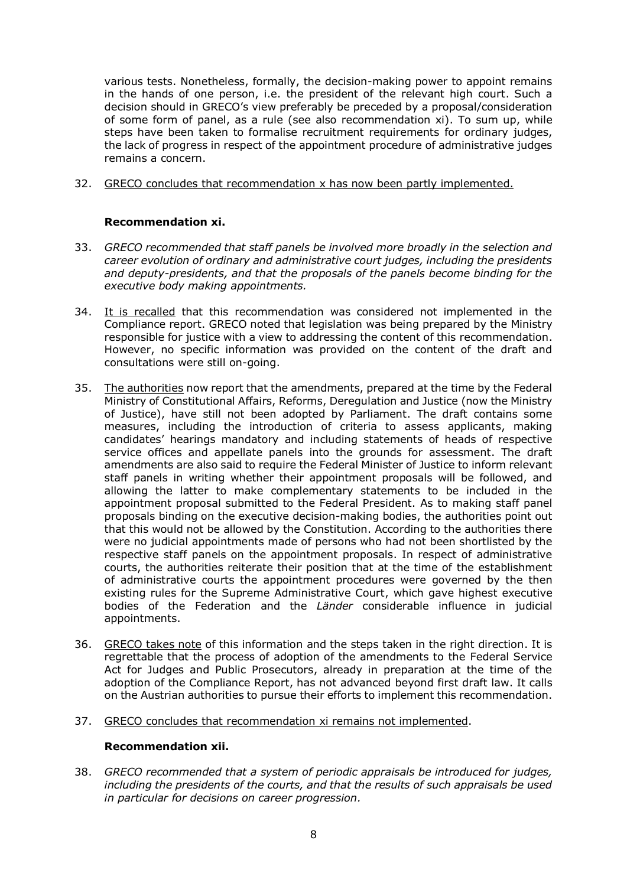various tests. Nonetheless, formally, the decision-making power to appoint remains in the hands of one person, i.e. the president of the relevant high court. Such a decision should in GRECO's view preferably be preceded by a proposal/consideration of some form of panel, as a rule (see also recommendation xi). To sum up, while steps have been taken to formalise recruitment requirements for ordinary judges, the lack of progress in respect of the appointment procedure of administrative judges remains a concern.

32. GRECO concludes that recommendation x has now been partly implemented.

## **Recommendation xi.**

- 33. *GRECO recommended that staff panels be involved more broadly in the selection and career evolution of ordinary and administrative court judges, including the presidents and deputy-presidents, and that the proposals of the panels become binding for the executive body making appointments.*
- 34. It is recalled that this recommendation was considered not implemented in the Compliance report. GRECO noted that legislation was being prepared by the Ministry responsible for justice with a view to addressing the content of this recommendation. However, no specific information was provided on the content of the draft and consultations were still on-going.
- 35. The authorities now report that the amendments, prepared at the time by the Federal Ministry of Constitutional Affairs, Reforms, Deregulation and Justice (now the Ministry of Justice), have still not been adopted by Parliament. The draft contains some measures, including the introduction of criteria to assess applicants, making candidates' hearings mandatory and including statements of heads of respective service offices and appellate panels into the grounds for assessment. The draft amendments are also said to require the Federal Minister of Justice to inform relevant staff panels in writing whether their appointment proposals will be followed, and allowing the latter to make complementary statements to be included in the appointment proposal submitted to the Federal President. As to making staff panel proposals binding on the executive decision-making bodies, the authorities point out that this would not be allowed by the Constitution. According to the authorities there were no judicial appointments made of persons who had not been shortlisted by the respective staff panels on the appointment proposals. In respect of administrative courts, the authorities reiterate their position that at the time of the establishment of administrative courts the appointment procedures were governed by the then existing rules for the Supreme Administrative Court, which gave highest executive bodies of the Federation and the *Länder* considerable influence in judicial appointments.
- 36. GRECO takes note of this information and the steps taken in the right direction. It is regrettable that the process of adoption of the amendments to the Federal Service Act for Judges and Public Prosecutors, already in preparation at the time of the adoption of the Compliance Report, has not advanced beyond first draft law. It calls on the Austrian authorities to pursue their efforts to implement this recommendation.
- 37. GRECO concludes that recommendation xi remains not implemented.

## **Recommendation xii.**

38. *GRECO recommended that a system of periodic appraisals be introduced for judges, including the presidents of the courts, and that the results of such appraisals be used in particular for decisions on career progression.*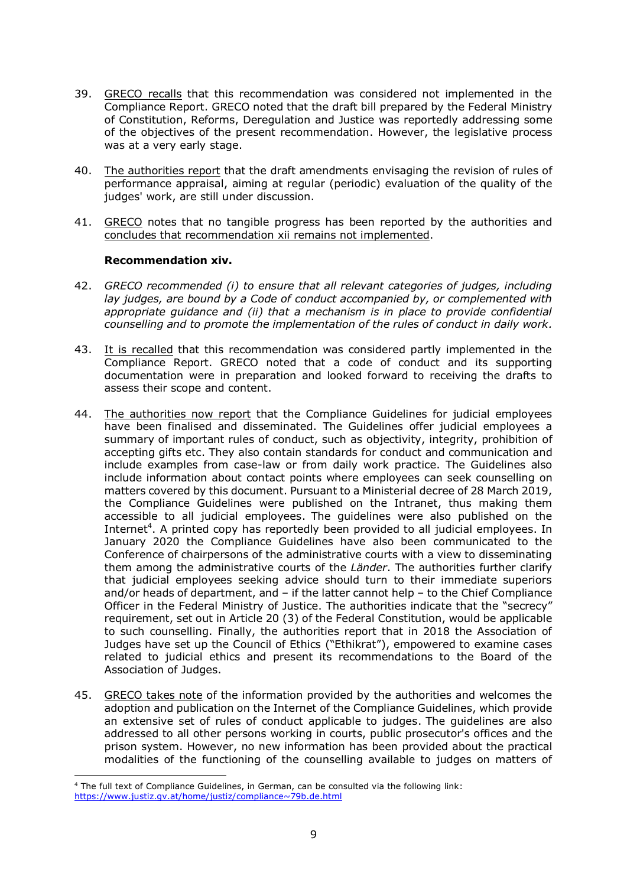- 39. GRECO recalls that this recommendation was considered not implemented in the Compliance Report. GRECO noted that the draft bill prepared by the Federal Ministry of Constitution, Reforms, Deregulation and Justice was reportedly addressing some of the objectives of the present recommendation. However, the legislative process was at a very early stage.
- 40. The authorities report that the draft amendments envisaging the revision of rules of performance appraisal, aiming at regular (periodic) evaluation of the quality of the judges' work, are still under discussion.
- 41. GRECO notes that no tangible progress has been reported by the authorities and concludes that recommendation xii remains not implemented.

#### **Recommendation xiv.**

- 42. *GRECO recommended (i) to ensure that all relevant categories of judges, including lay judges, are bound by a Code of conduct accompanied by, or complemented with appropriate guidance and (ii) that a mechanism is in place to provide confidential counselling and to promote the implementation of the rules of conduct in daily work.*
- 43. It is recalled that this recommendation was considered partly implemented in the Compliance Report. GRECO noted that a code of conduct and its supporting documentation were in preparation and looked forward to receiving the drafts to assess their scope and content.
- 44. The authorities now report that the Compliance Guidelines for judicial employees have been finalised and disseminated. The Guidelines offer judicial employees a summary of important rules of conduct, such as objectivity, integrity, prohibition of accepting gifts etc. They also contain standards for conduct and communication and include examples from case-law or from daily work practice. The Guidelines also include information about contact points where employees can seek counselling on matters covered by this document. Pursuant to a Ministerial decree of 28 March 2019, the Compliance Guidelines were published on the Intranet, thus making them accessible to all judicial employees. The guidelines were also published on the Internet<sup>4</sup>. A printed copy has reportedly been provided to all judicial employees. In January 2020 the Compliance Guidelines have also been communicated to the Conference of chairpersons of the administrative courts with a view to disseminating them among the administrative courts of the *Länder*. The authorities further clarify that judicial employees seeking advice should turn to their immediate superiors and/or heads of department, and – if the latter cannot help – to the Chief Compliance Officer in the Federal Ministry of Justice. The authorities indicate that the "secrecy" requirement, set out in Article 20 (3) of the Federal Constitution, would be applicable to such counselling. Finally, the authorities report that in 2018 the Association of Judges have set up the Council of Ethics ("Ethikrat"), empowered to examine cases related to judicial ethics and present its recommendations to the Board of the Association of Judges.
- 45. GRECO takes note of the information provided by the authorities and welcomes the adoption and publication on the Internet of the Compliance Guidelines, which provide an extensive set of rules of conduct applicable to judges. The guidelines are also addressed to all other persons working in courts, public prosecutor's offices and the prison system. However, no new information has been provided about the practical modalities of the functioning of the counselling available to judges on matters of

<sup>4</sup> The full text of Compliance Guidelines, in German, can be consulted via the following link: <https://www.justiz.gv.at/home/justiz/compliance~79b.de.html>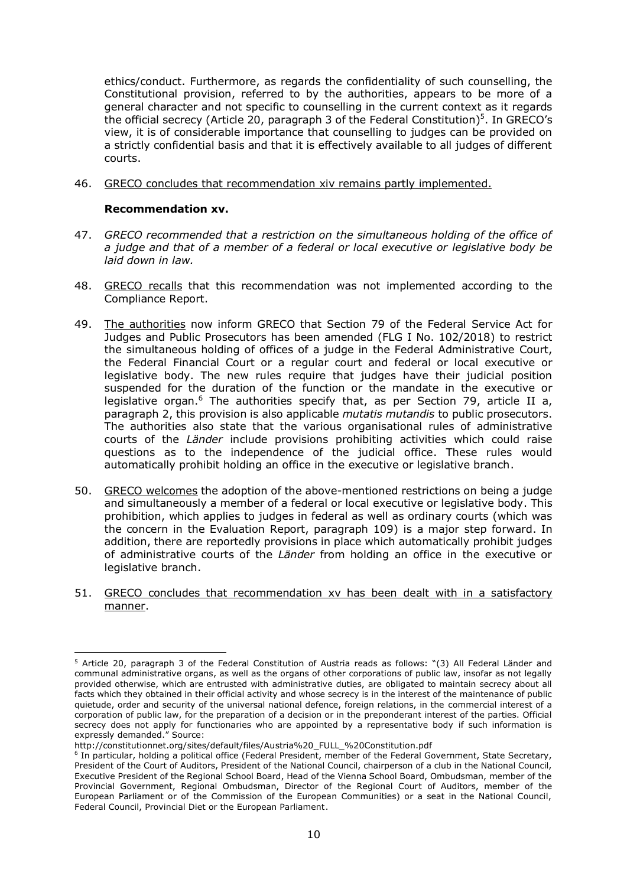ethics/conduct. Furthermore, as regards the confidentiality of such counselling, the Constitutional provision, referred to by the authorities, appears to be more of a general character and not specific to counselling in the current context as it regards the official secrecy (Article 20, paragraph 3 of the Federal Constitution)<sup>5</sup>. In GRECO's view, it is of considerable importance that counselling to judges can be provided on a strictly confidential basis and that it is effectively available to all judges of different courts.

46. GRECO concludes that recommendation xiv remains partly implemented.

#### **Recommendation xv.**

- 47. *GRECO recommended that a restriction on the simultaneous holding of the office of a judge and that of a member of a federal or local executive or legislative body be laid down in law.*
- 48. GRECO recalls that this recommendation was not implemented according to the Compliance Report.
- 49. The authorities now inform GRECO that Section 79 of the Federal Service Act for Judges and Public Prosecutors has been amended (FLG I No. 102/2018) to restrict the simultaneous holding of offices of a judge in the Federal Administrative Court, the Federal Financial Court or a regular court and federal or local executive or legislative body. The new rules require that judges have their judicial position suspended for the duration of the function or the mandate in the executive or legislative organ.<sup>6</sup> The authorities specify that, as per Section 79, article II a, paragraph 2, this provision is also applicable *mutatis mutandis* to public prosecutors. The authorities also state that the various organisational rules of administrative courts of the *Länder* include provisions prohibiting activities which could raise questions as to the independence of the judicial office. These rules would automatically prohibit holding an office in the executive or legislative branch.
- 50. GRECO welcomes the adoption of the above-mentioned restrictions on being a judge and simultaneously a member of a federal or local executive or legislative body. This prohibition, which applies to judges in federal as well as ordinary courts (which was the concern in the Evaluation Report, paragraph 109) is a major step forward. In addition, there are reportedly provisions in place which automatically prohibit judges of administrative courts of the *Länder* from holding an office in the executive or legislative branch.
- 51. GRECO concludes that recommendation xv has been dealt with in a satisfactory manner.

<sup>&</sup>lt;sup>5</sup> Article 20, paragraph 3 of the Federal Constitution of Austria reads as follows: "(3) All Federal Länder and communal administrative organs, as well as the organs of other corporations of public law, insofar as not legally provided otherwise, which are entrusted with administrative duties, are obligated to maintain secrecy about all facts which they obtained in their official activity and whose secrecy is in the interest of the maintenance of public quietude, order and security of the universal national defence, foreign relations, in the commercial interest of a corporation of public law, for the preparation of a decision or in the preponderant interest of the parties. Official secrecy does not apply for functionaries who are appointed by a representative body if such information is expressly demanded." Source:

http://constitutionnet.org/sites/default/files/Austria%20\_FULL\_%20Constitution.pdf

<sup>6</sup> In particular, holding a political office (Federal President, member of the Federal Government, State Secretary, President of the Court of Auditors, President of the National Council, chairperson of a club in the National Council, Executive President of the Regional School Board, Head of the Vienna School Board, Ombudsman, member of the Provincial Government, Regional Ombudsman, Director of the Regional Court of Auditors, member of the European Parliament or of the Commission of the European Communities) or a seat in the National Council, Federal Council, Provincial Diet or the European Parliament.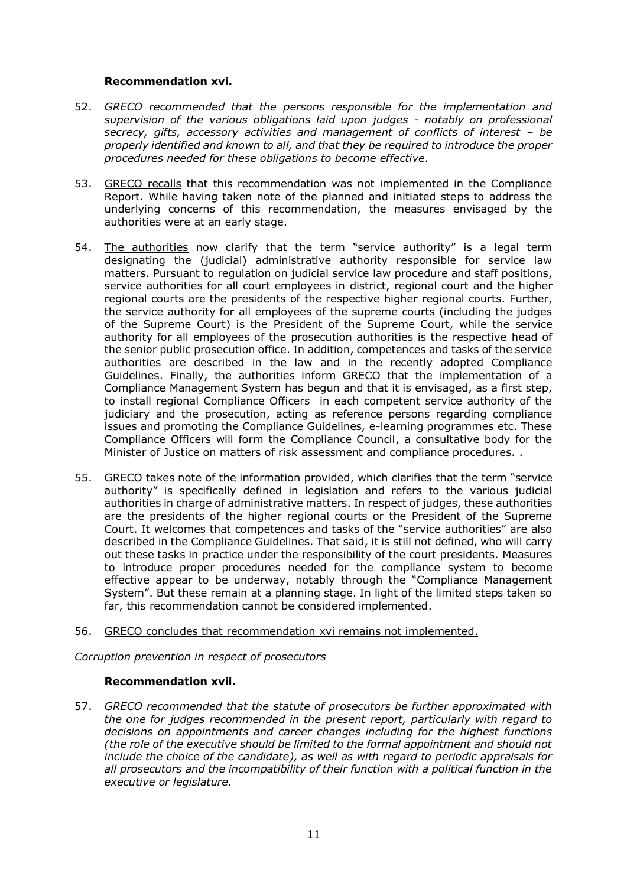### **Recommendation xvi.**

- 52. *GRECO recommended that the persons responsible for the implementation and supervision of the various obligations laid upon judges - notably on professional secrecy, gifts, accessory activities and management of conflicts of interest – be properly identified and known to all, and that they be required to introduce the proper procedures needed for these obligations to become effective.*
- 53. GRECO recalls that this recommendation was not implemented in the Compliance Report. While having taken note of the planned and initiated steps to address the underlying concerns of this recommendation, the measures envisaged by the authorities were at an early stage.
- 54. The authorities now clarify that the term "service authority" is a legal term designating the (judicial) administrative authority responsible for service law matters. Pursuant to regulation on judicial service law procedure and staff positions, service authorities for all court employees in district, regional court and the higher regional courts are the presidents of the respective higher regional courts. Further, the service authority for all employees of the supreme courts (including the judges of the Supreme Court) is the President of the Supreme Court, while the service authority for all employees of the prosecution authorities is the respective head of the senior public prosecution office. In addition, competences and tasks of the service authorities are described in the law and in the recently adopted Compliance Guidelines. Finally, the authorities inform GRECO that the implementation of a Compliance Management System has begun and that it is envisaged, as a first step, to install regional Compliance Officers in each competent service authority of the judiciary and the prosecution, acting as reference persons regarding compliance issues and promoting the Compliance Guidelines, e-learning programmes etc. These Compliance Officers will form the Compliance Council, a consultative body for the Minister of Justice on matters of risk assessment and compliance procedures. .
- 55. GRECO takes note of the information provided, which clarifies that the term "service authority" is specifically defined in legislation and refers to the various judicial authorities in charge of administrative matters. In respect of judges, these authorities are the presidents of the higher regional courts or the President of the Supreme Court. It welcomes that competences and tasks of the "service authorities" are also described in the Compliance Guidelines. That said, it is still not defined, who will carry out these tasks in practice under the responsibility of the court presidents. Measures to introduce proper procedures needed for the compliance system to become effective appear to be underway, notably through the "Compliance Management System". But these remain at a planning stage. In light of the limited steps taken so far, this recommendation cannot be considered implemented.
- 56. GRECO concludes that recommendation xvi remains not implemented.

*Corruption prevention in respect of prosecutors*

#### **Recommendation xvii.**

57. *GRECO recommended that the statute of prosecutors be further approximated with the one for judges recommended in the present report, particularly with regard to decisions on appointments and career changes including for the highest functions (the role of the executive should be limited to the formal appointment and should not include the choice of the candidate), as well as with regard to periodic appraisals for all prosecutors and the incompatibility of their function with a political function in the executive or legislature.*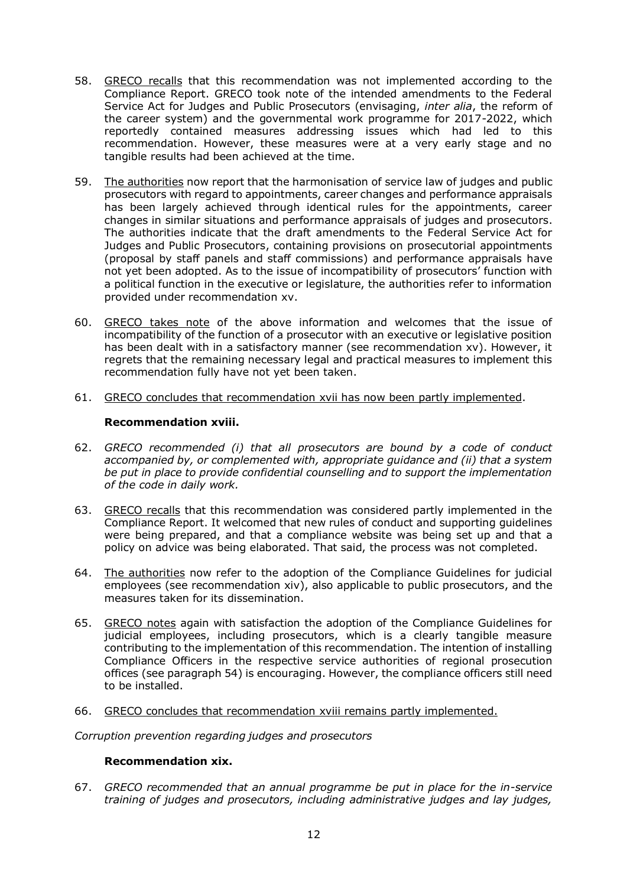- 58. GRECO recalls that this recommendation was not implemented according to the Compliance Report. GRECO took note of the intended amendments to the Federal Service Act for Judges and Public Prosecutors (envisaging, *inter alia*, the reform of the career system) and the governmental work programme for 2017-2022, which reportedly contained measures addressing issues which had led to this recommendation. However, these measures were at a very early stage and no tangible results had been achieved at the time.
- 59. The authorities now report that the harmonisation of service law of judges and public prosecutors with regard to appointments, career changes and performance appraisals has been largely achieved through identical rules for the appointments, career changes in similar situations and performance appraisals of judges and prosecutors. The authorities indicate that the draft amendments to the Federal Service Act for Judges and Public Prosecutors, containing provisions on prosecutorial appointments (proposal by staff panels and staff commissions) and performance appraisals have not yet been adopted. As to the issue of incompatibility of prosecutors' function with a political function in the executive or legislature, the authorities refer to information provided under recommendation xv.
- 60. GRECO takes note of the above information and welcomes that the issue of incompatibility of the function of a prosecutor with an executive or legislative position has been dealt with in a satisfactory manner (see recommendation xv). However, it regrets that the remaining necessary legal and practical measures to implement this recommendation fully have not yet been taken.
- 61. GRECO concludes that recommendation xvii has now been partly implemented.

## **Recommendation xviii.**

- 62. *GRECO recommended (i) that all prosecutors are bound by a code of conduct accompanied by, or complemented with, appropriate guidance and (ii) that a system be put in place to provide confidential counselling and to support the implementation of the code in daily work.*
- 63. GRECO recalls that this recommendation was considered partly implemented in the Compliance Report. It welcomed that new rules of conduct and supporting guidelines were being prepared, and that a compliance website was being set up and that a policy on advice was being elaborated. That said, the process was not completed.
- 64. The authorities now refer to the adoption of the Compliance Guidelines for judicial employees (see recommendation xiv), also applicable to public prosecutors, and the measures taken for its dissemination.
- 65. GRECO notes again with satisfaction the adoption of the Compliance Guidelines for judicial employees, including prosecutors, which is a clearly tangible measure contributing to the implementation of this recommendation. The intention of installing Compliance Officers in the respective service authorities of regional prosecution offices (see paragraph 54) is encouraging. However, the compliance officers still need to be installed.
- 66. GRECO concludes that recommendation xviii remains partly implemented.

*Corruption prevention regarding judges and prosecutors*

#### **Recommendation xix.**

67. *GRECO recommended that an annual programme be put in place for the in-service training of judges and prosecutors, including administrative judges and lay judges,*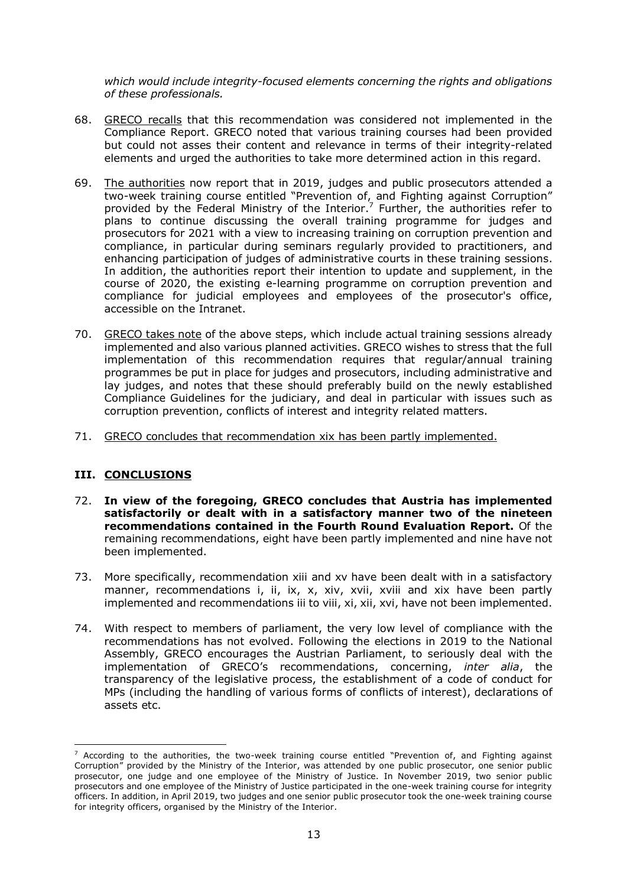*which would include integrity-focused elements concerning the rights and obligations of these professionals.*

- 68. GRECO recalls that this recommendation was considered not implemented in the Compliance Report. GRECO noted that various training courses had been provided but could not asses their content and relevance in terms of their integrity-related elements and urged the authorities to take more determined action in this regard.
- 69. The authorities now report that in 2019, judges and public prosecutors attended a two-week training course entitled "Prevention of, and Fighting against Corruption" provided by the Federal Ministry of the Interior.<sup>7</sup> Further, the authorities refer to plans to continue discussing the overall training programme for judges and prosecutors for 2021 with a view to increasing training on corruption prevention and compliance, in particular during seminars regularly provided to practitioners, and enhancing participation of judges of administrative courts in these training sessions. In addition, the authorities report their intention to update and supplement, in the course of 2020, the existing e-learning programme on corruption prevention and compliance for judicial employees and employees of the prosecutor's office, accessible on the Intranet.
- 70. GRECO takes note of the above steps, which include actual training sessions already implemented and also various planned activities. GRECO wishes to stress that the full implementation of this recommendation requires that regular/annual training programmes be put in place for judges and prosecutors, including administrative and lay judges, and notes that these should preferably build on the newly established Compliance Guidelines for the judiciary, and deal in particular with issues such as corruption prevention, conflicts of interest and integrity related matters.
- 71. GRECO concludes that recommendation xix has been partly implemented.

## **III. CONCLUSIONS**

- 72. **In view of the foregoing, GRECO concludes that Austria has implemented satisfactorily or dealt with in a satisfactory manner two of the nineteen recommendations contained in the Fourth Round Evaluation Report.** Of the remaining recommendations, eight have been partly implemented and nine have not been implemented.
- 73. More specifically, recommendation xiii and xv have been dealt with in a satisfactory manner, recommendations i, ii, ix, x, xiv, xvii, xviii and xix have been partly implemented and recommendations iii to viii, xi, xii, xvi, have not been implemented.
- 74. With respect to members of parliament, the very low level of compliance with the recommendations has not evolved. Following the elections in 2019 to the National Assembly, GRECO encourages the Austrian Parliament, to seriously deal with the implementation of GRECO's recommendations, concerning, *inter alia*, the transparency of the legislative process, the establishment of a code of conduct for MPs (including the handling of various forms of conflicts of interest), declarations of assets etc.

 $7$  According to the authorities, the two-week training course entitled "Prevention of, and Fighting against Corruption" provided by the Ministry of the Interior, was attended by one public prosecutor, one senior public prosecutor, one judge and one employee of the Ministry of Justice. In November 2019, two senior public prosecutors and one employee of the Ministry of Justice participated in the one-week training course for integrity officers. In addition, in April 2019, two judges and one senior public prosecutor took the one-week training course for integrity officers, organised by the Ministry of the Interior.